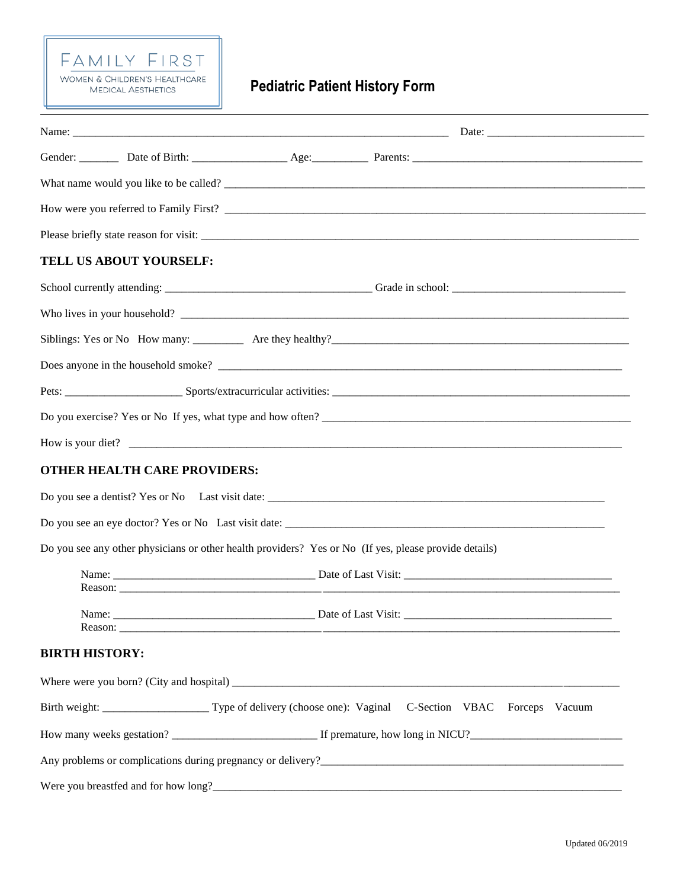## FAMILY FIRST WOMEN & CHILDREN'S HEALTHCARE **MEDICAL AESTHETICS**

# **Pediatric Patient History Form**

|                       | TELL US ABOUT YOURSELF:             |                                                                                                       |
|-----------------------|-------------------------------------|-------------------------------------------------------------------------------------------------------|
|                       |                                     |                                                                                                       |
|                       |                                     |                                                                                                       |
|                       |                                     |                                                                                                       |
|                       |                                     |                                                                                                       |
|                       |                                     |                                                                                                       |
|                       |                                     | Do you exercise? Yes or No If yes, what type and how often?                                           |
|                       |                                     | How is your diet?                                                                                     |
|                       | <b>OTHER HEALTH CARE PROVIDERS:</b> |                                                                                                       |
|                       |                                     |                                                                                                       |
|                       |                                     |                                                                                                       |
|                       |                                     | Do you see any other physicians or other health providers? Yes or No (If yes, please provide details) |
|                       |                                     |                                                                                                       |
| Name:                 |                                     |                                                                                                       |
| <b>BIRTH HISTORY:</b> |                                     |                                                                                                       |
|                       |                                     |                                                                                                       |
|                       |                                     | Birth weight: Type of delivery (choose one): Vaginal C-Section VBAC Forceps Vacuum                    |
|                       |                                     |                                                                                                       |
|                       |                                     |                                                                                                       |
|                       |                                     |                                                                                                       |